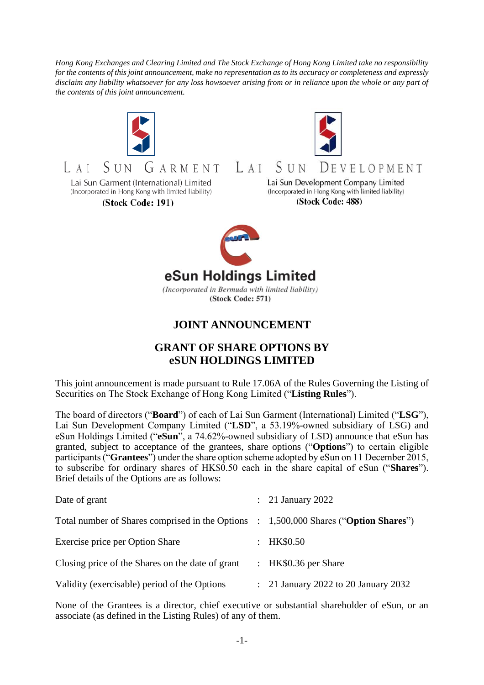*Hong Kong Exchanges and Clearing Limited and The Stock Exchange of Hong Kong Limited take no responsibility for the contents of this joint announcement, make no representation as to its accuracy or completeness and expressly disclaim any liability whatsoever for any loss howsoever arising from or in reliance upon the whole or any part of the contents of this joint announcement.*





Lai Sun Garment (International) Limited (Incorporated in Hong Kong with limited liability)

(Stock Code: 191)



SUN  $LAI$  $D$ f v f i o p m f n t Lai Sun Development Company Limited

(Incorporated in Hong Kong with limited liability) (Stock Code: 488)



(Incorporated in Bermuda with limited liability) (Stock Code: 571)

## **JOINT ANNOUNCEMENT**

## **GRANT OF SHARE OPTIONS BY eSUN HOLDINGS LIMITED**

This joint announcement is made pursuant to Rule 17.06A of the Rules Governing the Listing of Securities on The Stock Exchange of Hong Kong Limited ("**Listing Rules**").

The board of directors ("**Board**") of each of Lai Sun Garment (International) Limited ("**LSG**"), Lai Sun Development Company Limited ("**LSD**", a 53.19%-owned subsidiary of LSG) and eSun Holdings Limited ("**eSun**", a 74.62%-owned subsidiary of LSD) announce that eSun has granted, subject to acceptance of the grantees, share options ("**Options**") to certain eligible participants ("**Grantees**") under the share option scheme adopted by eSun on 11 December 2015, to subscribe for ordinary shares of HK\$0.50 each in the share capital of eSun ("**Shares**"). Brief details of the Options are as follows:

| Date of grant                                                                        | $\therefore$ 21 January 2022         |
|--------------------------------------------------------------------------------------|--------------------------------------|
| Total number of Shares comprised in the Options : 1,500,000 Shares ("Option Shares") |                                      |
| Exercise price per Option Share                                                      | : HK\$0.50                           |
| Closing price of the Shares on the date of grant                                     | : HK\$0.36 per Share                 |
| Validity (exercisable) period of the Options                                         | : 21 January 2022 to 20 January 2032 |

None of the Grantees is a director, chief executive or substantial shareholder of eSun, or an associate (as defined in the Listing Rules) of any of them.